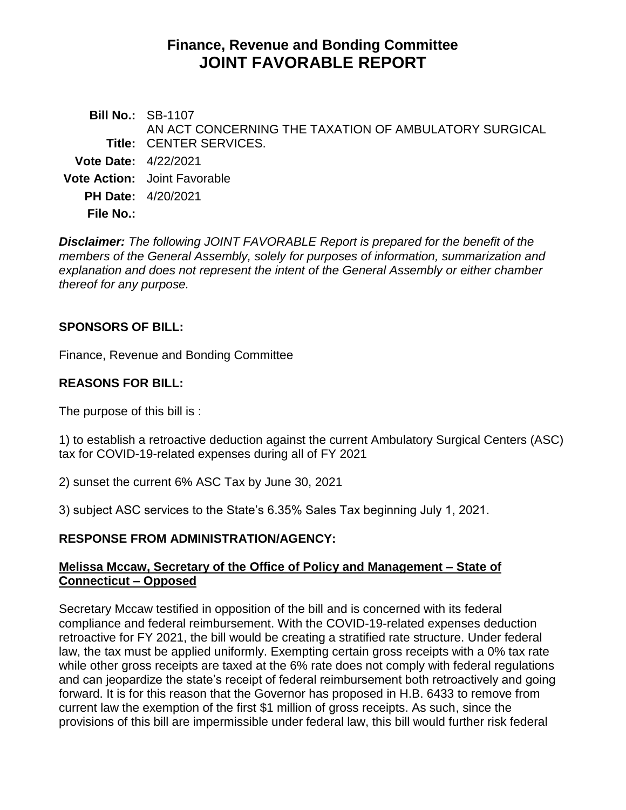# **Finance, Revenue and Bonding Committee JOINT FAVORABLE REPORT**

**Bill No.:** SB-1107 **Title:** CENTER SERVICES. AN ACT CONCERNING THE TAXATION OF AMBULATORY SURGICAL **Vote Date:** 4/22/2021 **Vote Action:** Joint Favorable **PH Date:** 4/20/2021 **File No.:**

*Disclaimer: The following JOINT FAVORABLE Report is prepared for the benefit of the members of the General Assembly, solely for purposes of information, summarization and explanation and does not represent the intent of the General Assembly or either chamber thereof for any purpose.*

#### **SPONSORS OF BILL:**

Finance, Revenue and Bonding Committee

#### **REASONS FOR BILL:**

The purpose of this bill is :

1) to establish a retroactive deduction against the current Ambulatory Surgical Centers (ASC) tax for COVID-19-related expenses during all of FY 2021

2) sunset the current 6% ASC Tax by June 30, 2021

3) subject ASC services to the State's 6.35% Sales Tax beginning July 1, 2021.

## **RESPONSE FROM ADMINISTRATION/AGENCY:**

#### **Melissa Mccaw, Secretary of the Office of Policy and Management – State of Connecticut – Opposed**

Secretary Mccaw testified in opposition of the bill and is concerned with its federal compliance and federal reimbursement. With the COVID-19-related expenses deduction retroactive for FY 2021, the bill would be creating a stratified rate structure. Under federal law, the tax must be applied uniformly. Exempting certain gross receipts with a 0% tax rate while other gross receipts are taxed at the 6% rate does not comply with federal regulations and can jeopardize the state's receipt of federal reimbursement both retroactively and going forward. It is for this reason that the Governor has proposed in H.B. 6433 to remove from current law the exemption of the first \$1 million of gross receipts. As such, since the provisions of this bill are impermissible under federal law, this bill would further risk federal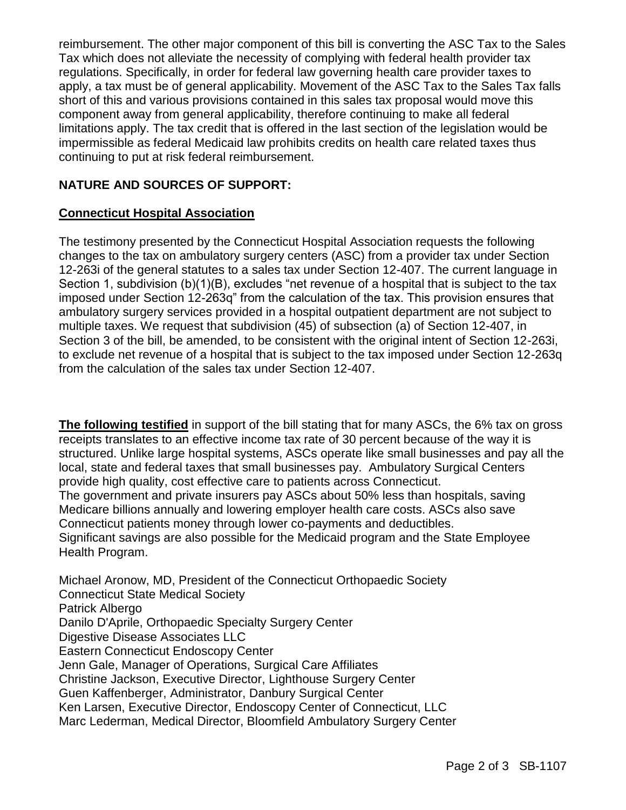reimbursement. The other major component of this bill is converting the ASC Tax to the Sales Tax which does not alleviate the necessity of complying with federal health provider tax regulations. Specifically, in order for federal law governing health care provider taxes to apply, a tax must be of general applicability. Movement of the ASC Tax to the Sales Tax falls short of this and various provisions contained in this sales tax proposal would move this component away from general applicability, therefore continuing to make all federal limitations apply. The tax credit that is offered in the last section of the legislation would be impermissible as federal Medicaid law prohibits credits on health care related taxes thus continuing to put at risk federal reimbursement.

# **NATURE AND SOURCES OF SUPPORT:**

#### **Connecticut Hospital Association**

The testimony presented by the Connecticut Hospital Association requests the following changes to the tax on ambulatory surgery centers (ASC) from a provider tax under Section 12-263i of the general statutes to a sales tax under Section 12-407. The current language in Section 1, subdivision (b)(1)(B), excludes "net revenue of a hospital that is subject to the tax imposed under Section 12-263q" from the calculation of the tax. This provision ensures that ambulatory surgery services provided in a hospital outpatient department are not subject to multiple taxes. We request that subdivision (45) of subsection (a) of Section 12-407, in Section 3 of the bill, be amended, to be consistent with the original intent of Section 12-263i, to exclude net revenue of a hospital that is subject to the tax imposed under Section 12-263q from the calculation of the sales tax under Section 12-407.

**The following testified** in support of the bill stating that for many ASCs, the 6% tax on gross receipts translates to an effective income tax rate of 30 percent because of the way it is structured. Unlike large hospital systems, ASCs operate like small businesses and pay all the local, state and federal taxes that small businesses pay. Ambulatory Surgical Centers provide high quality, cost effective care to patients across Connecticut.

The government and private insurers pay ASCs about 50% less than hospitals, saving Medicare billions annually and lowering employer health care costs. ASCs also save Connecticut patients money through lower co-payments and deductibles. Significant savings are also possible for the Medicaid program and the State Employee Health Program.

Michael Aronow, MD, President of the Connecticut Orthopaedic Society Connecticut State Medical Society Patrick Albergo Danilo D'Aprile, Orthopaedic Specialty Surgery Center Digestive Disease Associates LLC Eastern Connecticut Endoscopy Center Jenn Gale, Manager of Operations, Surgical Care Affiliates Christine Jackson, Executive Director, Lighthouse Surgery Center Guen Kaffenberger, Administrator, Danbury Surgical Center Ken Larsen, Executive Director, Endoscopy Center of Connecticut, LLC Marc Lederman, Medical Director, Bloomfield Ambulatory Surgery Center